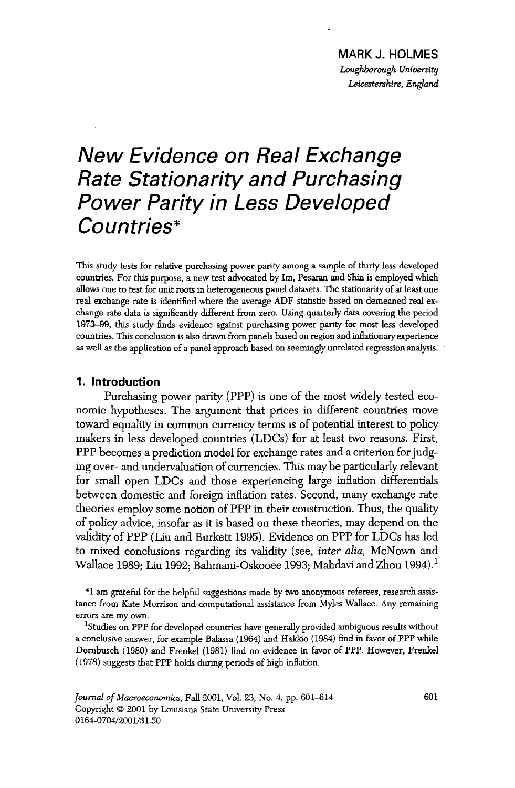## *New Evidence on Real Exchange Rate Stationarity and Purchasing Power Parity in Less Developed Countries\**

This study tests for relative purchasing power parity among a sample of thirty less developed countries. For this purpose, a new test advocated by Im, Pesaran and Shin is employed which allows one to test for unit roots in heterogeneous panel datasets. The stationarity of at least one real exchange rate is identified where the average ADF statistic based on demeaned real exchange rate data is significantly different from zero. Using quarterly data covering the period 1973--99, this study finds evidence against purchasing power parity for most less developed countries. This conclusion is also drawn from panels based on region and inflationary experience as well as the application of a panel approach based on seemingly unrelated regression analysis.

## 1. Introduction

Purchasing power parity (PPP) is one of the most widely tested economic hypotheses. The argument that prices in different countries move toward equality in common currency terms is of potential interest to policy makers in less developed countries (LDCs) for at least two reasons. First, PPP becomes a prediction model for exchange rates and a criterion for judging over- and undervaluation of currencies. This may be particularly relevant for small open LDCs and those experiencing large inflation differentials between domestic and foreign inflation rates. Second, many exchange rate theories employ some notion of PPP in their construction. Thus, the quality of policy advice, insofar as it is based on these theories, may depend on the validity of PPP (Liu and Burkett 1995). Evidence on PPP for LDCs has led to mixed conclusions regarding its validity (see, *inter alia,* McNown and Wallace 1989; Liu 1992; Bahmani-Oskooee 1993; Mahdavi and Zhou 1994).<sup>1</sup>

\*I am grateful for the helpful suggestions made by two anonymous referees, research assistance from Kate Morrison and computational assistance from Myles Wallace. Any remaining errors are my own.

1Studies on PPP for developed countries have generally provided ambiguous results without a conclusive answer, for example Balassa (1964) and Hakkio (1984) find in favor of PPP while Dornbusch (1980) and Frenkel (1981) find no evidence in favor of PPP. However, Frenkel (1978) suggests that PPP holds during periods of high inflation.

*Journal of Macroeconomics, Fall 2001, Vol. 23, No. 4, pp. 601-614* Copyright © 2001 by Louisiana State University Press 0164-0704/2001/\$1.50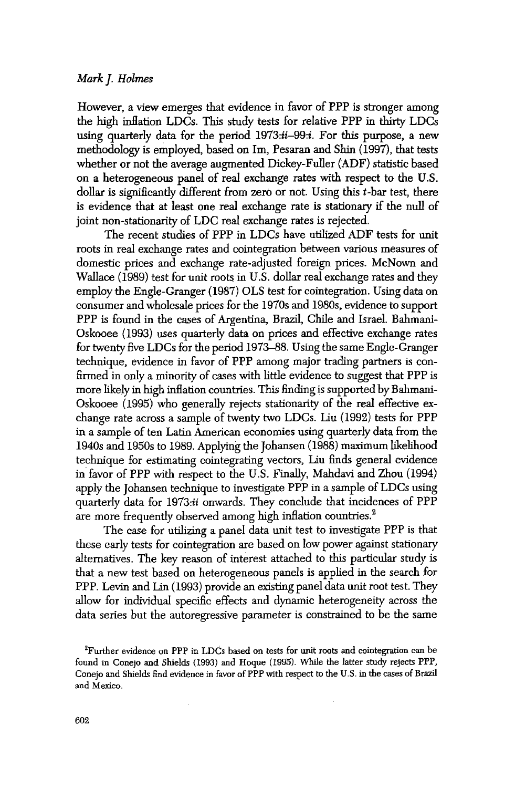## *Mark J. Holmes*

However, a view emerges that evidence in favor of PPP is stronger among the high inflation LDCs. This study tests for relative PPP in thirty LDCs using quarterly data for the period *1973:ii-99:i.* For this purpose, a new methodology is employed, based on Im, Pesaran and Shin (1997), that tests whether or not the average augmented Dickey-Fuller (ADF) statistic based on a heterogeneous panel of real exchange rates with respect to the U.S. dollar is significantly different from zero or not. Using this t-bar test, there is evidence that at least one real exchange rate is stationary if the null of joint non-stationarity of LDC real exchange rates is rejected.

The recent studies of PPP in LDCs have utilized ADF tests for unit roots in real exchange rates and cointegration between various measures of domestic prices and exchange rate-adjusted foreign prices. McNown and Wallace (1989) test for unit roots in U.S. dollar real exchange rates and they employ the Engle-Granger (1987) OLS test for cointegration. Using data on consumer and wholesale prices for the 1970s and 1980s, evidence to support PPP is found in the cases of Argentina, Brazil, Chile and Israel. Bahmani-Oskooee (1993) uses quarterly data on prices and effective exchange rates for twenty five LDCs for the period 1973-88. Using the same Engle-Granger technique, evidence in favor of PPP among major trading partners is confirmed in only a minority of cases with little evidence to suggest that PPP is more likely in high inflation countries. This finding is supported by Bahmani-Oskooee (1995) who generally rejects stationarity of the real effective exchange rate across a sample of twenty two LDCs. Liu (1992) tests for PPP in a sample of ten Latin American economies using quarterly data from the 1940s and 1950s to 1989. Applying the Johansen (1988) maximum likelihood technique for estimating cointegrating vectors, Liu finds general evidence in favor of PPP with respect to the U.S. Finally, Mahdavi and Zhou (1994) apply the Johansen technique to investigate PPP in a sample of LDCs using quarterly data for 1973:ii onwards. They conclude that incidences of PPP are more frequently observed among high inflation countries.<sup>2</sup>

The case for utilizing a panel data unit test to investigate PPP is that these early tests for cointegration are based on low power against stationary alternatives. The key reason of interest attached to this particular study is that a new test based on heterogeneous panels is applied in the search for PPP. Levin and Lin (1993) provide an existing panel data unit root test. They allow for individual specific effects and dynamic heterogeneity across the data series but the autoregressive parameter is constrained to be the same

<sup>&</sup>lt;sup>2</sup>Further evidence on PPP in LDCs based on tests for unit roots and cointegration can be found in Conejo and Shields (1993) and Hoque (1995). While the latter study rejects PFP, Conejo and Shields find evidence m favor of FPP with respect to the U.S. in the cases of Brazil and Mexico.